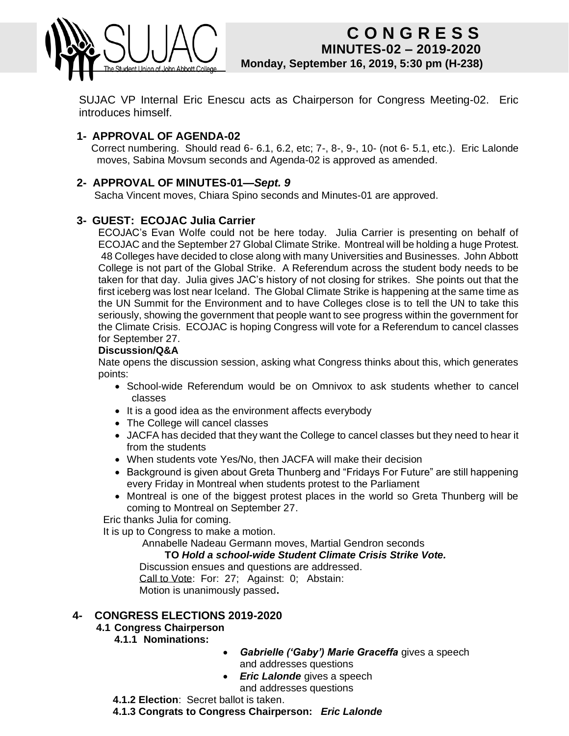

## **CONGRESS MINUTES-02 – 2019-2020 Monday, 12 April 2010\_\_\_\_ Monday, September 16, 2019, 5:30 pm (H-238) C O N G R E S S**

SUJAC VP Internal Eric Enescu acts as Chairperson for Congress Meeting-02. Eric introduces himself.

## **1- APPROVAL OF AGENDA-02**

 Correct numbering. Should read 6- 6.1, 6.2, etc; 7-, 8-, 9-, 10- (not 6- 5.1, etc.). Eric Lalonde moves, Sabina Movsum seconds and Agenda-02 is approved as amended.

#### **2- APPROVAL OF MINUTES-01—***Sept. 9*

Sacha Vincent moves, Chiara Spino seconds and Minutes-01 are approved.

#### **3- GUEST: ECOJAC Julia Carrier**

ECOJAC's Evan Wolfe could not be here today. Julia Carrier is presenting on behalf of ECOJAC and the September 27 Global Climate Strike. Montreal will be holding a huge Protest. 48 Colleges have decided to close along with many Universities and Businesses. John Abbott College is not part of the Global Strike. A Referendum across the student body needs to be taken for that day. Julia gives JAC's history of not closing for strikes. She points out that the first iceberg was lost near Iceland. The Global Climate Strike is happening at the same time as the UN Summit for the Environment and to have Colleges close is to tell the UN to take this seriously, showing the government that people want to see progress within the government for the Climate Crisis. ECOJAC is hoping Congress will vote for a Referendum to cancel classes for September 27.

#### **Discussion/Q&A**

Nate opens the discussion session, asking what Congress thinks about this, which generates points:

- School-wide Referendum would be on Omnivox to ask students whether to cancel classes
- It is a good idea as the environment affects everybody
- The College will cancel classes
- JACFA has decided that they want the College to cancel classes but they need to hear it from the students
- When students vote Yes/No, then JACFA will make their decision
- Background is given about Greta Thunberg and "Fridays For Future" are still happening every Friday in Montreal when students protest to the Parliament
- Montreal is one of the biggest protest places in the world so Greta Thunberg will be coming to Montreal on September 27.

Eric thanks Julia for coming.

It is up to Congress to make a motion.

Annabelle Nadeau Germann moves, Martial Gendron seconds

#### **TO** *Hold a school-wide Student Climate Crisis Strike Vote.*

Discussion ensues and questions are addressed. Call to Vote: For: 27; Against: 0; Abstain: Motion is unanimously passed**.**

#### **4- CONGRESS ELECTIONS 2019-2020**

## **4.1 Congress Chairperson**

#### **4.1.1 Nominations:**

- *Gabrielle ('Gaby') Marie Graceffa* gives a speech and addresses questions
- *Eric Lalonde* gives a speech and addresses questions

**4.1.2 Election**: Secret ballot is taken.

**4.1.3 Congrats to Congress Chairperson:** *Eric Lalonde*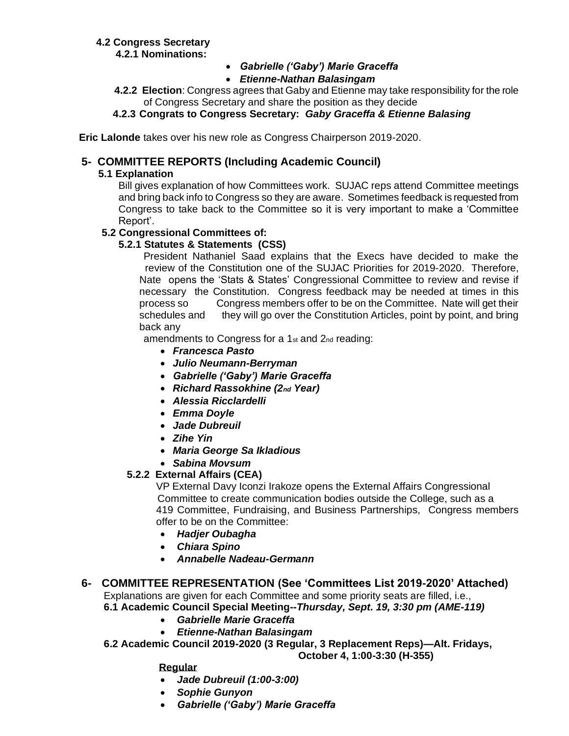## **4.2 Congress Secretary**

 **4.2.1 Nominations:**

- *Gabrielle ('Gaby') Marie Graceffa*
- *Etienne-Nathan Balasingam*
- **4.2.2 Election**: Congress agrees that Gaby and Etienne may take responsibility for the role of Congress Secretary and share the position as they decide

## **4.2.3 Congrats to Congress Secretary:** *Gaby Graceffa & Etienne Balasing*

**Eric Lalonde** takes over his new role as Congress Chairperson 2019-2020.

## **5- COMMITTEE REPORTS (Including Academic Council)**

#### **5.1 Explanation**

Bill gives explanation of how Committees work. SUJAC reps attend Committee meetings and bring back info to Congress so they are aware. Sometimes feedback is requested from Congress to take back to the Committee so it is very important to make a 'Committee Report'.

#### **5.2 Congressional Committees of:**

#### **5.2.1 Statutes & Statements (CSS)**

President Nathaniel Saad explains that the Execs have decided to make the review of the Constitution one of the SUJAC Priorities for 2019-2020. Therefore, Nate opens the 'Stats & States' Congressional Committee to review and revise if necessary the Constitution. Congress feedback may be needed at times in this process so Congress members offer to be on the Committee. Nate will get their schedules and they will go over the Constitution Articles, point by point, and bring back any

amendments to Congress for a 1<sup>st</sup> and 2<sup>nd</sup> reading:

- *Francesca Pasto*
- *Julio Neumann-Berryman*
- *Gabrielle ('Gaby') Marie Graceffa*
- *Richard Rassokhine (2nd Year)*
- *Alessia Ricclardelli*
- *Emma Doyle*
- *Jade Dubreuil*
- *Zihe Yin*
- *Maria George Sa Ikladious*
- *Sabina Movsum*

#### **5.2.2 External Affairs (CEA)**

VP External Davy Iconzi Irakoze opens the External Affairs Congressional Committee to create communication bodies outside the College, such as a 419 Committee, Fundraising, and Business Partnerships, Congress members offer to be on the Committee:

- *Hadjer Oubagha*
- *Chiara Spino*
- *Annabelle Nadeau-Germann*

# **6- COMMITTEE REPRESENTATION (See 'Committees List 2019-2020' Attached)**

 Explanations are given for each Committee and some priority seats are filled, i.e.,  **6.1 Academic Council Special Meeting--***Thursday, Sept. 19, 3:30 pm (AME-119)*

- *Gabrielle Marie Graceffa*
- *Etienne-Nathan Balasingam*
- **6.2 Academic Council 2019-2020 (3 Regular, 3 Replacement Reps)—Alt. Fridays, October 4, 1:00-3:30 (H-355)**

**Regular**

- *Jade Dubreuil (1:00-3:00)*
- *Sophie Gunyon*
- *Gabrielle ('Gaby') Marie Graceffa*